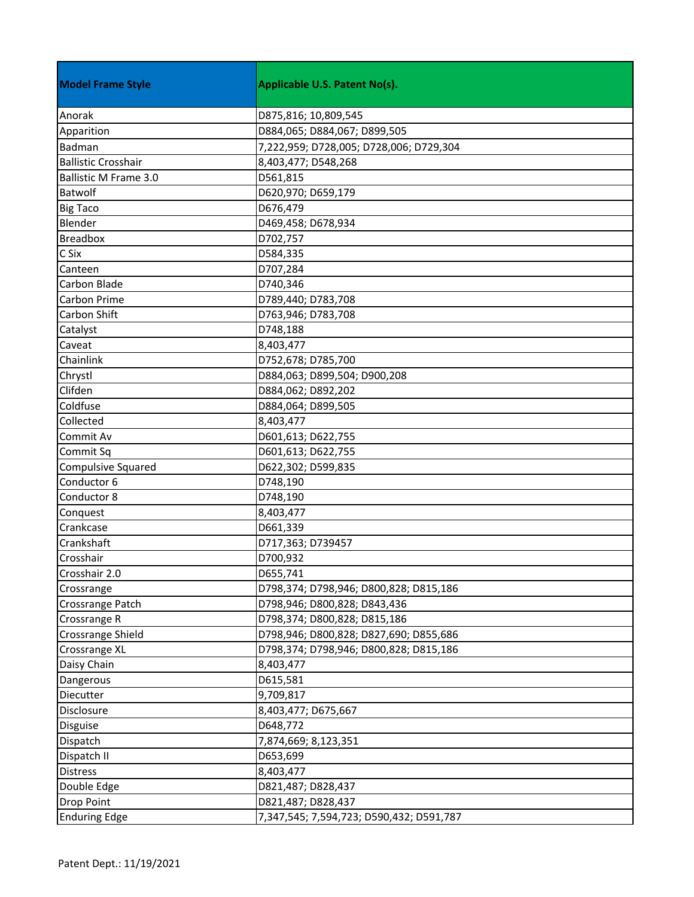| <b>Model Frame Style</b>     | <b>Applicable U.S. Patent No(s).</b>     |
|------------------------------|------------------------------------------|
| Anorak                       | D875,816; 10,809,545                     |
| Apparition                   | D884,065; D884,067; D899,505             |
| Badman                       | 7,222,959; D728,005; D728,006; D729,304  |
| <b>Ballistic Crosshair</b>   | 8,403,477; D548,268                      |
| <b>Ballistic M Frame 3.0</b> | D561,815                                 |
| Batwolf                      | D620,970; D659,179                       |
| <b>Big Taco</b>              | D676,479                                 |
| Blender                      | D469,458; D678,934                       |
| <b>Breadbox</b>              | D702,757                                 |
| C Six                        | D584,335                                 |
| Canteen                      | D707,284                                 |
| <b>Carbon Blade</b>          | D740,346                                 |
| <b>Carbon Prime</b>          | D789,440; D783,708                       |
| <b>Carbon Shift</b>          | D763,946; D783,708                       |
| Catalyst                     | D748,188                                 |
| Caveat                       | 8,403,477                                |
| Chainlink                    | D752,678; D785,700                       |
| Chrystl                      | D884,063; D899,504; D900,208             |
| Clifden                      | D884,062; D892,202                       |
| Coldfuse                     | D884,064; D899,505                       |
| Collected                    | 8,403,477                                |
| Commit Av                    | D601,613; D622,755                       |
| Commit Sq                    | D601,613; D622,755                       |
| Compulsive Squared           | D622,302; D599,835                       |
| Conductor 6                  | D748,190                                 |
| Conductor 8                  | D748,190                                 |
| Conquest                     | 8,403,477                                |
| Crankcase                    | D661,339                                 |
| Crankshaft                   | D717,363; D739457                        |
| Crosshair                    | D700,932                                 |
| Crosshair 2.0                | D655,741                                 |
| Crossrange                   | D798,374; D798,946; D800,828; D815,186   |
| Crossrange Patch             | D798,946; D800,828; D843,436             |
| Crossrange R                 | D798,374; D800,828; D815,186             |
| Crossrange Shield            | D798,946; D800,828; D827,690; D855,686   |
| Crossrange XL                | D798,374; D798,946; D800,828; D815,186   |
| Daisy Chain                  | 8,403,477                                |
| Dangerous                    | D615,581                                 |
| Diecutter                    | 9,709,817                                |
| Disclosure                   | 8,403,477; D675,667                      |
| <b>Disguise</b>              | D648,772                                 |
| Dispatch                     | 7,874,669; 8,123,351                     |
| Dispatch II                  | D653,699                                 |
| <b>Distress</b>              | 8,403,477                                |
| Double Edge                  | D821,487; D828,437                       |
| <b>Drop Point</b>            | D821,487; D828,437                       |
| <b>Enduring Edge</b>         | 7,347,545; 7,594,723; D590,432; D591,787 |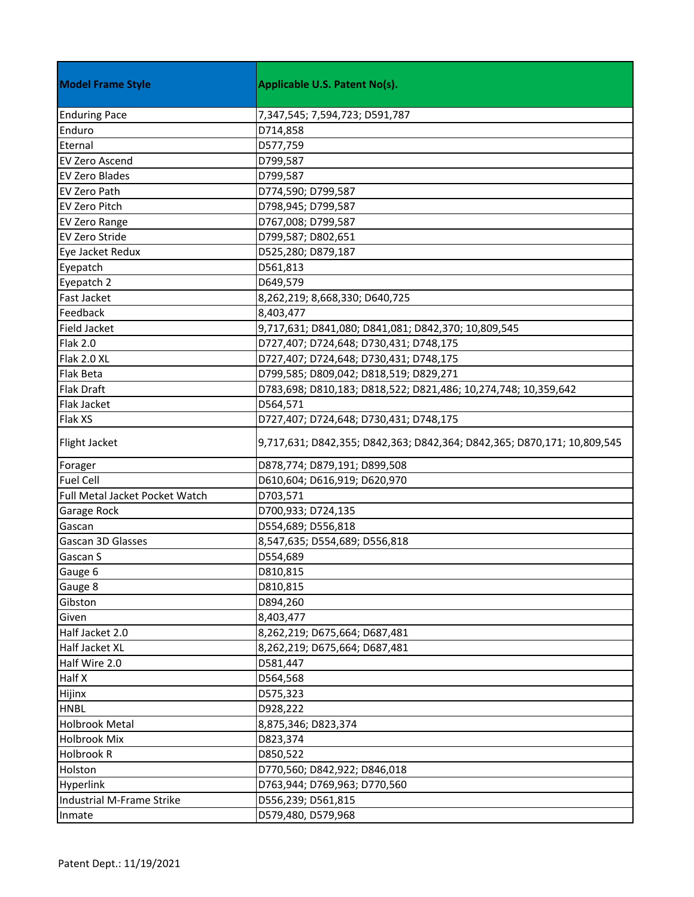| <b>Model Frame Style</b>       | Applicable U.S. Patent No(s).                                           |
|--------------------------------|-------------------------------------------------------------------------|
| <b>Enduring Pace</b>           | 7,347,545; 7,594,723; D591,787                                          |
| Enduro                         | D714,858                                                                |
| Eternal                        | D577,759                                                                |
| <b>EV Zero Ascend</b>          | D799,587                                                                |
| <b>EV Zero Blades</b>          | D799,587                                                                |
| <b>EV Zero Path</b>            | D774,590; D799,587                                                      |
| <b>EV Zero Pitch</b>           | D798,945; D799,587                                                      |
| <b>EV Zero Range</b>           | D767,008; D799,587                                                      |
| <b>EV Zero Stride</b>          | D799,587; D802,651                                                      |
| Eye Jacket Redux               | D525,280; D879,187                                                      |
| Eyepatch                       | D561,813                                                                |
| Eyepatch 2                     | D649,579                                                                |
| <b>Fast Jacket</b>             | 8,262,219; 8,668,330; D640,725                                          |
| Feedback                       | 8,403,477                                                               |
| <b>Field Jacket</b>            | 9,717,631; D841,080; D841,081; D842,370; 10,809,545                     |
| <b>Flak 2.0</b>                | D727,407; D724,648; D730,431; D748,175                                  |
| Flak 2.0 XL                    | D727,407; D724,648; D730,431; D748,175                                  |
| <b>Flak Beta</b>               | D799,585; D809,042; D818,519; D829,271                                  |
| <b>Flak Draft</b>              | D783,698; D810,183; D818,522; D821,486; 10,274,748; 10,359,642          |
| Flak Jacket                    | D564,571                                                                |
| Flak XS                        | D727,407; D724,648; D730,431; D748,175                                  |
| Flight Jacket                  | 9,717,631; D842,355; D842,363; D842,364; D842,365; D870,171; 10,809,545 |
| Forager                        | D878,774; D879,191; D899,508                                            |
| <b>Fuel Cell</b>               | D610,604; D616,919; D620,970                                            |
| Full Metal Jacket Pocket Watch | D703,571                                                                |
| <b>Garage Rock</b>             | D700,933; D724,135                                                      |
| Gascan                         | D554,689; D556,818                                                      |
| Gascan 3D Glasses              | 8,547,635; D554,689; D556,818                                           |
| Gascan S                       | D554,689                                                                |
| Gauge 6                        | D810,815                                                                |
| Gauge 8                        | D810,815                                                                |
| Gibston                        | D894,260                                                                |
| Given                          | 8,403,477                                                               |
| Half Jacket 2.0                | 8,262,219; D675,664; D687,481                                           |
| Half Jacket XL                 | 8,262,219; D675,664; D687,481                                           |
| Half Wire 2.0                  | D581,447                                                                |
| <b>Half X</b>                  | D564,568                                                                |
| Hijinx                         | D575,323                                                                |
| <b>HNBL</b>                    | D928,222                                                                |
| <b>Holbrook Metal</b>          | 8,875,346; D823,374                                                     |
| <b>Holbrook Mix</b>            | D823,374                                                                |
| <b>Holbrook R</b>              | D850,522                                                                |
| Holston                        | D770,560; D842,922; D846,018                                            |
| Hyperlink                      | D763,944; D769,963; D770,560                                            |
| Industrial M-Frame Strike      | D556,239; D561,815                                                      |
| Inmate                         | D579,480, D579,968                                                      |
|                                |                                                                         |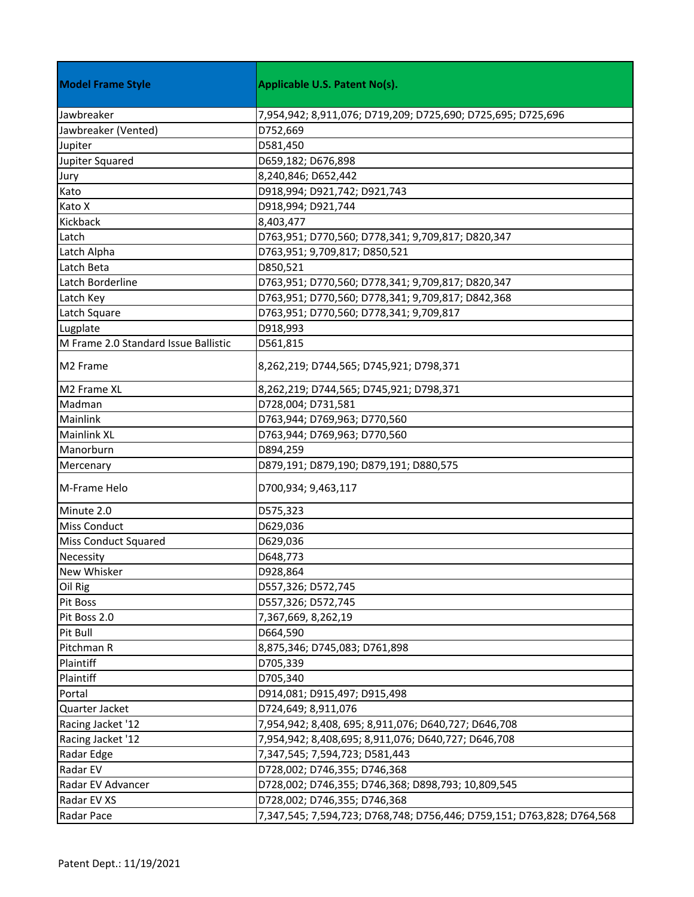| Jawbreaker<br>7,954,942; 8,911,076; D719,209; D725,690; D725,695; D725,696<br>Jawbreaker (Vented)<br>D752,669<br>D581,450<br>Jupiter<br>Jupiter Squared<br>D659,182; D676,898<br>Jury<br>8,240,846; D652,442<br>Kato<br>D918,994; D921,742; D921,743<br>Kato X<br>D918,994; D921,744<br>Kickback<br>8,403,477<br>Latch<br>D763,951; D770,560; D778,341; 9,709,817; D820,347<br>Latch Alpha<br>D763,951; 9,709,817; D850,521<br>Latch Beta<br>D850,521<br>Latch Borderline<br>D763,951; D770,560; D778,341; 9,709,817; D820,347<br>Latch Key<br>D763,951; D770,560; D778,341; 9,709,817; D842,368<br>D763,951; D770,560; D778,341; 9,709,817<br>Latch Square<br>Lugplate<br>D918,993<br>M Frame 2.0 Standard Issue Ballistic<br>D561,815<br>M <sub>2</sub> Frame<br>8,262,219; D744,565; D745,921; D798,371<br>M2 Frame XL<br>8,262,219; D744,565; D745,921; D798,371<br>Madman<br>D728,004; D731,581<br>Mainlink<br>D763,944; D769,963; D770,560<br><b>Mainlink XL</b><br>D763,944; D769,963; D770,560<br>Manorburn<br>D894,259<br>D879,191; D879,190; D879,191; D880,575<br>Mercenary<br>M-Frame Helo<br>D700,934; 9,463,117<br>Minute 2.0<br>D575,323<br><b>Miss Conduct</b><br>D629,036<br><b>Miss Conduct Squared</b><br>D629,036<br>Necessity<br>D648,773<br>New Whisker<br>D928,864<br>Oil Rig<br>D557,326; D572,745<br>Pit Boss<br>D557,326; D572,745<br>Pit Boss 2.0<br>7,367,669, 8,262,19<br>Pit Bull<br>D664,590<br>Pitchman R<br>8,875,346; D745,083; D761,898<br>Plaintiff<br>D705,339<br>Plaintiff<br>D705,340<br>Portal<br>D914,081; D915,497; D915,498<br>Quarter Jacket<br>D724,649; 8,911,076<br>Racing Jacket '12<br>7,954,942; 8,408, 695; 8,911,076; D640,727; D646,708<br>Racing Jacket '12<br>7,954,942; 8,408,695; 8,911,076; D640,727; D646,708<br>Radar Edge<br>7,347,545; 7,594,723; D581,443<br>Radar EV<br>D728,002; D746,355; D746,368<br>Radar EV Advancer<br>D728,002; D746,355; D746,368; D898,793; 10,809,545 | <b>Model Frame Style</b> | <b>Applicable U.S. Patent No(s).</b> |
|-------------------------------------------------------------------------------------------------------------------------------------------------------------------------------------------------------------------------------------------------------------------------------------------------------------------------------------------------------------------------------------------------------------------------------------------------------------------------------------------------------------------------------------------------------------------------------------------------------------------------------------------------------------------------------------------------------------------------------------------------------------------------------------------------------------------------------------------------------------------------------------------------------------------------------------------------------------------------------------------------------------------------------------------------------------------------------------------------------------------------------------------------------------------------------------------------------------------------------------------------------------------------------------------------------------------------------------------------------------------------------------------------------------------------------------------------------------------------------------------------------------------------------------------------------------------------------------------------------------------------------------------------------------------------------------------------------------------------------------------------------------------------------------------------------------------------------------------------------------------------------------------------------------------------------------------------|--------------------------|--------------------------------------|
|                                                                                                                                                                                                                                                                                                                                                                                                                                                                                                                                                                                                                                                                                                                                                                                                                                                                                                                                                                                                                                                                                                                                                                                                                                                                                                                                                                                                                                                                                                                                                                                                                                                                                                                                                                                                                                                                                                                                                 |                          |                                      |
|                                                                                                                                                                                                                                                                                                                                                                                                                                                                                                                                                                                                                                                                                                                                                                                                                                                                                                                                                                                                                                                                                                                                                                                                                                                                                                                                                                                                                                                                                                                                                                                                                                                                                                                                                                                                                                                                                                                                                 |                          |                                      |
|                                                                                                                                                                                                                                                                                                                                                                                                                                                                                                                                                                                                                                                                                                                                                                                                                                                                                                                                                                                                                                                                                                                                                                                                                                                                                                                                                                                                                                                                                                                                                                                                                                                                                                                                                                                                                                                                                                                                                 |                          |                                      |
|                                                                                                                                                                                                                                                                                                                                                                                                                                                                                                                                                                                                                                                                                                                                                                                                                                                                                                                                                                                                                                                                                                                                                                                                                                                                                                                                                                                                                                                                                                                                                                                                                                                                                                                                                                                                                                                                                                                                                 |                          |                                      |
|                                                                                                                                                                                                                                                                                                                                                                                                                                                                                                                                                                                                                                                                                                                                                                                                                                                                                                                                                                                                                                                                                                                                                                                                                                                                                                                                                                                                                                                                                                                                                                                                                                                                                                                                                                                                                                                                                                                                                 |                          |                                      |
|                                                                                                                                                                                                                                                                                                                                                                                                                                                                                                                                                                                                                                                                                                                                                                                                                                                                                                                                                                                                                                                                                                                                                                                                                                                                                                                                                                                                                                                                                                                                                                                                                                                                                                                                                                                                                                                                                                                                                 |                          |                                      |
|                                                                                                                                                                                                                                                                                                                                                                                                                                                                                                                                                                                                                                                                                                                                                                                                                                                                                                                                                                                                                                                                                                                                                                                                                                                                                                                                                                                                                                                                                                                                                                                                                                                                                                                                                                                                                                                                                                                                                 |                          |                                      |
|                                                                                                                                                                                                                                                                                                                                                                                                                                                                                                                                                                                                                                                                                                                                                                                                                                                                                                                                                                                                                                                                                                                                                                                                                                                                                                                                                                                                                                                                                                                                                                                                                                                                                                                                                                                                                                                                                                                                                 |                          |                                      |
|                                                                                                                                                                                                                                                                                                                                                                                                                                                                                                                                                                                                                                                                                                                                                                                                                                                                                                                                                                                                                                                                                                                                                                                                                                                                                                                                                                                                                                                                                                                                                                                                                                                                                                                                                                                                                                                                                                                                                 |                          |                                      |
|                                                                                                                                                                                                                                                                                                                                                                                                                                                                                                                                                                                                                                                                                                                                                                                                                                                                                                                                                                                                                                                                                                                                                                                                                                                                                                                                                                                                                                                                                                                                                                                                                                                                                                                                                                                                                                                                                                                                                 |                          |                                      |
|                                                                                                                                                                                                                                                                                                                                                                                                                                                                                                                                                                                                                                                                                                                                                                                                                                                                                                                                                                                                                                                                                                                                                                                                                                                                                                                                                                                                                                                                                                                                                                                                                                                                                                                                                                                                                                                                                                                                                 |                          |                                      |
|                                                                                                                                                                                                                                                                                                                                                                                                                                                                                                                                                                                                                                                                                                                                                                                                                                                                                                                                                                                                                                                                                                                                                                                                                                                                                                                                                                                                                                                                                                                                                                                                                                                                                                                                                                                                                                                                                                                                                 |                          |                                      |
|                                                                                                                                                                                                                                                                                                                                                                                                                                                                                                                                                                                                                                                                                                                                                                                                                                                                                                                                                                                                                                                                                                                                                                                                                                                                                                                                                                                                                                                                                                                                                                                                                                                                                                                                                                                                                                                                                                                                                 |                          |                                      |
|                                                                                                                                                                                                                                                                                                                                                                                                                                                                                                                                                                                                                                                                                                                                                                                                                                                                                                                                                                                                                                                                                                                                                                                                                                                                                                                                                                                                                                                                                                                                                                                                                                                                                                                                                                                                                                                                                                                                                 |                          |                                      |
|                                                                                                                                                                                                                                                                                                                                                                                                                                                                                                                                                                                                                                                                                                                                                                                                                                                                                                                                                                                                                                                                                                                                                                                                                                                                                                                                                                                                                                                                                                                                                                                                                                                                                                                                                                                                                                                                                                                                                 |                          |                                      |
|                                                                                                                                                                                                                                                                                                                                                                                                                                                                                                                                                                                                                                                                                                                                                                                                                                                                                                                                                                                                                                                                                                                                                                                                                                                                                                                                                                                                                                                                                                                                                                                                                                                                                                                                                                                                                                                                                                                                                 |                          |                                      |
|                                                                                                                                                                                                                                                                                                                                                                                                                                                                                                                                                                                                                                                                                                                                                                                                                                                                                                                                                                                                                                                                                                                                                                                                                                                                                                                                                                                                                                                                                                                                                                                                                                                                                                                                                                                                                                                                                                                                                 |                          |                                      |
|                                                                                                                                                                                                                                                                                                                                                                                                                                                                                                                                                                                                                                                                                                                                                                                                                                                                                                                                                                                                                                                                                                                                                                                                                                                                                                                                                                                                                                                                                                                                                                                                                                                                                                                                                                                                                                                                                                                                                 |                          |                                      |
|                                                                                                                                                                                                                                                                                                                                                                                                                                                                                                                                                                                                                                                                                                                                                                                                                                                                                                                                                                                                                                                                                                                                                                                                                                                                                                                                                                                                                                                                                                                                                                                                                                                                                                                                                                                                                                                                                                                                                 |                          |                                      |
|                                                                                                                                                                                                                                                                                                                                                                                                                                                                                                                                                                                                                                                                                                                                                                                                                                                                                                                                                                                                                                                                                                                                                                                                                                                                                                                                                                                                                                                                                                                                                                                                                                                                                                                                                                                                                                                                                                                                                 |                          |                                      |
|                                                                                                                                                                                                                                                                                                                                                                                                                                                                                                                                                                                                                                                                                                                                                                                                                                                                                                                                                                                                                                                                                                                                                                                                                                                                                                                                                                                                                                                                                                                                                                                                                                                                                                                                                                                                                                                                                                                                                 |                          |                                      |
|                                                                                                                                                                                                                                                                                                                                                                                                                                                                                                                                                                                                                                                                                                                                                                                                                                                                                                                                                                                                                                                                                                                                                                                                                                                                                                                                                                                                                                                                                                                                                                                                                                                                                                                                                                                                                                                                                                                                                 |                          |                                      |
|                                                                                                                                                                                                                                                                                                                                                                                                                                                                                                                                                                                                                                                                                                                                                                                                                                                                                                                                                                                                                                                                                                                                                                                                                                                                                                                                                                                                                                                                                                                                                                                                                                                                                                                                                                                                                                                                                                                                                 |                          |                                      |
|                                                                                                                                                                                                                                                                                                                                                                                                                                                                                                                                                                                                                                                                                                                                                                                                                                                                                                                                                                                                                                                                                                                                                                                                                                                                                                                                                                                                                                                                                                                                                                                                                                                                                                                                                                                                                                                                                                                                                 |                          |                                      |
|                                                                                                                                                                                                                                                                                                                                                                                                                                                                                                                                                                                                                                                                                                                                                                                                                                                                                                                                                                                                                                                                                                                                                                                                                                                                                                                                                                                                                                                                                                                                                                                                                                                                                                                                                                                                                                                                                                                                                 |                          |                                      |
|                                                                                                                                                                                                                                                                                                                                                                                                                                                                                                                                                                                                                                                                                                                                                                                                                                                                                                                                                                                                                                                                                                                                                                                                                                                                                                                                                                                                                                                                                                                                                                                                                                                                                                                                                                                                                                                                                                                                                 |                          |                                      |
|                                                                                                                                                                                                                                                                                                                                                                                                                                                                                                                                                                                                                                                                                                                                                                                                                                                                                                                                                                                                                                                                                                                                                                                                                                                                                                                                                                                                                                                                                                                                                                                                                                                                                                                                                                                                                                                                                                                                                 |                          |                                      |
|                                                                                                                                                                                                                                                                                                                                                                                                                                                                                                                                                                                                                                                                                                                                                                                                                                                                                                                                                                                                                                                                                                                                                                                                                                                                                                                                                                                                                                                                                                                                                                                                                                                                                                                                                                                                                                                                                                                                                 |                          |                                      |
|                                                                                                                                                                                                                                                                                                                                                                                                                                                                                                                                                                                                                                                                                                                                                                                                                                                                                                                                                                                                                                                                                                                                                                                                                                                                                                                                                                                                                                                                                                                                                                                                                                                                                                                                                                                                                                                                                                                                                 |                          |                                      |
|                                                                                                                                                                                                                                                                                                                                                                                                                                                                                                                                                                                                                                                                                                                                                                                                                                                                                                                                                                                                                                                                                                                                                                                                                                                                                                                                                                                                                                                                                                                                                                                                                                                                                                                                                                                                                                                                                                                                                 |                          |                                      |
|                                                                                                                                                                                                                                                                                                                                                                                                                                                                                                                                                                                                                                                                                                                                                                                                                                                                                                                                                                                                                                                                                                                                                                                                                                                                                                                                                                                                                                                                                                                                                                                                                                                                                                                                                                                                                                                                                                                                                 |                          |                                      |
|                                                                                                                                                                                                                                                                                                                                                                                                                                                                                                                                                                                                                                                                                                                                                                                                                                                                                                                                                                                                                                                                                                                                                                                                                                                                                                                                                                                                                                                                                                                                                                                                                                                                                                                                                                                                                                                                                                                                                 |                          |                                      |
|                                                                                                                                                                                                                                                                                                                                                                                                                                                                                                                                                                                                                                                                                                                                                                                                                                                                                                                                                                                                                                                                                                                                                                                                                                                                                                                                                                                                                                                                                                                                                                                                                                                                                                                                                                                                                                                                                                                                                 |                          |                                      |
|                                                                                                                                                                                                                                                                                                                                                                                                                                                                                                                                                                                                                                                                                                                                                                                                                                                                                                                                                                                                                                                                                                                                                                                                                                                                                                                                                                                                                                                                                                                                                                                                                                                                                                                                                                                                                                                                                                                                                 |                          |                                      |
|                                                                                                                                                                                                                                                                                                                                                                                                                                                                                                                                                                                                                                                                                                                                                                                                                                                                                                                                                                                                                                                                                                                                                                                                                                                                                                                                                                                                                                                                                                                                                                                                                                                                                                                                                                                                                                                                                                                                                 |                          |                                      |
|                                                                                                                                                                                                                                                                                                                                                                                                                                                                                                                                                                                                                                                                                                                                                                                                                                                                                                                                                                                                                                                                                                                                                                                                                                                                                                                                                                                                                                                                                                                                                                                                                                                                                                                                                                                                                                                                                                                                                 |                          |                                      |
|                                                                                                                                                                                                                                                                                                                                                                                                                                                                                                                                                                                                                                                                                                                                                                                                                                                                                                                                                                                                                                                                                                                                                                                                                                                                                                                                                                                                                                                                                                                                                                                                                                                                                                                                                                                                                                                                                                                                                 |                          |                                      |
|                                                                                                                                                                                                                                                                                                                                                                                                                                                                                                                                                                                                                                                                                                                                                                                                                                                                                                                                                                                                                                                                                                                                                                                                                                                                                                                                                                                                                                                                                                                                                                                                                                                                                                                                                                                                                                                                                                                                                 |                          |                                      |
|                                                                                                                                                                                                                                                                                                                                                                                                                                                                                                                                                                                                                                                                                                                                                                                                                                                                                                                                                                                                                                                                                                                                                                                                                                                                                                                                                                                                                                                                                                                                                                                                                                                                                                                                                                                                                                                                                                                                                 |                          |                                      |
|                                                                                                                                                                                                                                                                                                                                                                                                                                                                                                                                                                                                                                                                                                                                                                                                                                                                                                                                                                                                                                                                                                                                                                                                                                                                                                                                                                                                                                                                                                                                                                                                                                                                                                                                                                                                                                                                                                                                                 |                          |                                      |
|                                                                                                                                                                                                                                                                                                                                                                                                                                                                                                                                                                                                                                                                                                                                                                                                                                                                                                                                                                                                                                                                                                                                                                                                                                                                                                                                                                                                                                                                                                                                                                                                                                                                                                                                                                                                                                                                                                                                                 |                          |                                      |
|                                                                                                                                                                                                                                                                                                                                                                                                                                                                                                                                                                                                                                                                                                                                                                                                                                                                                                                                                                                                                                                                                                                                                                                                                                                                                                                                                                                                                                                                                                                                                                                                                                                                                                                                                                                                                                                                                                                                                 |                          |                                      |
|                                                                                                                                                                                                                                                                                                                                                                                                                                                                                                                                                                                                                                                                                                                                                                                                                                                                                                                                                                                                                                                                                                                                                                                                                                                                                                                                                                                                                                                                                                                                                                                                                                                                                                                                                                                                                                                                                                                                                 |                          |                                      |
|                                                                                                                                                                                                                                                                                                                                                                                                                                                                                                                                                                                                                                                                                                                                                                                                                                                                                                                                                                                                                                                                                                                                                                                                                                                                                                                                                                                                                                                                                                                                                                                                                                                                                                                                                                                                                                                                                                                                                 | Radar EV XS              | D728,002; D746,355; D746,368         |
| Radar Pace<br>7,347,545; 7,594,723; D768,748; D756,446; D759,151; D763,828; D764,568                                                                                                                                                                                                                                                                                                                                                                                                                                                                                                                                                                                                                                                                                                                                                                                                                                                                                                                                                                                                                                                                                                                                                                                                                                                                                                                                                                                                                                                                                                                                                                                                                                                                                                                                                                                                                                                            |                          |                                      |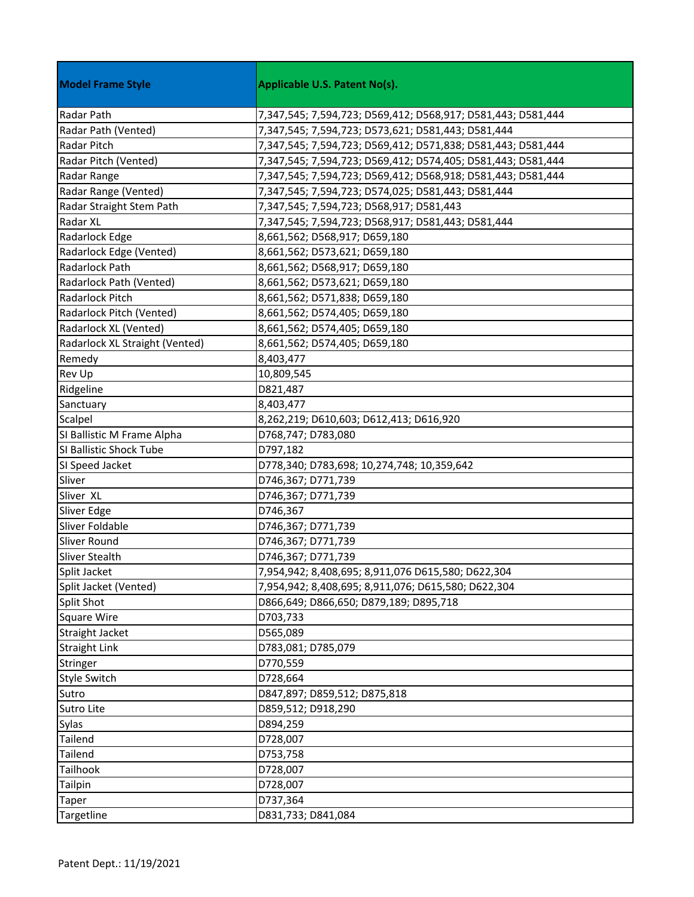| <b>Model Frame Style</b>       | <b>Applicable U.S. Patent No(s).</b>                         |
|--------------------------------|--------------------------------------------------------------|
| Radar Path                     | 7,347,545; 7,594,723; D569,412; D568,917; D581,443; D581,444 |
| Radar Path (Vented)            | 7,347,545; 7,594,723; D573,621; D581,443; D581,444           |
| <b>Radar Pitch</b>             | 7,347,545; 7,594,723; D569,412; D571,838; D581,443; D581,444 |
| Radar Pitch (Vented)           | 7,347,545; 7,594,723; D569,412; D574,405; D581,443; D581,444 |
| Radar Range                    | 7,347,545; 7,594,723; D569,412; D568,918; D581,443; D581,444 |
| Radar Range (Vented)           | 7,347,545; 7,594,723; D574,025; D581,443; D581,444           |
| Radar Straight Stem Path       | 7,347,545; 7,594,723; D568,917; D581,443                     |
| Radar XL                       | 7,347,545; 7,594,723; D568,917; D581,443; D581,444           |
| Radarlock Edge                 | 8,661,562; D568,917; D659,180                                |
| Radarlock Edge (Vented)        | 8,661,562; D573,621; D659,180                                |
| Radarlock Path                 | 8,661,562; D568,917; D659,180                                |
| Radarlock Path (Vented)        | 8,661,562; D573,621; D659,180                                |
| Radarlock Pitch                | 8,661,562; D571,838; D659,180                                |
| Radarlock Pitch (Vented)       | 8,661,562; D574,405; D659,180                                |
| Radarlock XL (Vented)          | 8,661,562; D574,405; D659,180                                |
| Radarlock XL Straight (Vented) | 8,661,562; D574,405; D659,180                                |
| Remedy                         | 8,403,477                                                    |
| <b>Rev Up</b>                  | 10,809,545                                                   |
| Ridgeline                      | D821,487                                                     |
| Sanctuary                      | 8,403,477                                                    |
| Scalpel                        | 8,262,219; D610,603; D612,413; D616,920                      |
| SI Ballistic M Frame Alpha     | D768,747; D783,080                                           |
| SI Ballistic Shock Tube        | D797,182                                                     |
| SI Speed Jacket                | D778,340; D783,698; 10,274,748; 10,359,642                   |
| Sliver                         | D746,367; D771,739                                           |
| Sliver XL                      | D746,367; D771,739                                           |
| Sliver Edge                    | D746,367                                                     |
| Sliver Foldable                | D746,367; D771,739                                           |
| Sliver Round                   | D746,367; D771,739                                           |
| Sliver Stealth                 | D746,367; D771,739                                           |
| Split Jacket                   | 7,954,942; 8,408,695; 8,911,076 D615,580; D622,304           |
| Split Jacket (Vented)          | 7,954,942; 8,408,695; 8,911,076; D615,580; D622,304          |
| Split Shot                     | D866,649; D866,650; D879,189; D895,718                       |
| Square Wire                    | D703,733                                                     |
| Straight Jacket                | D565,089                                                     |
| <b>Straight Link</b>           | D783,081; D785,079                                           |
| Stringer                       | D770,559                                                     |
| <b>Style Switch</b>            | D728,664                                                     |
| Sutro                          | D847,897; D859,512; D875,818                                 |
| Sutro Lite                     | D859,512; D918,290                                           |
| Sylas                          | D894,259                                                     |
| Tailend                        | D728,007                                                     |
| Tailend                        | D753,758                                                     |
| Tailhook                       | D728,007                                                     |
| <b>Tailpin</b>                 | D728,007                                                     |
| Taper                          | D737,364                                                     |
| Targetline                     | D831,733; D841,084                                           |